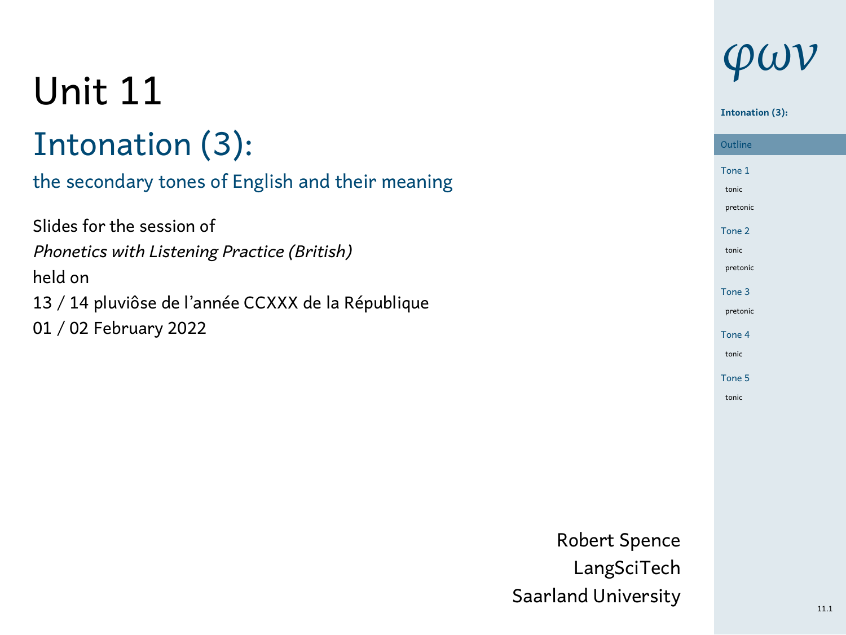# Unit 11

## Intonation (3):

#### the secondary tones of English and their meaning

| Slides for the session of                          |
|----------------------------------------------------|
| Phonetics with Listening Practice (British)        |
| held on                                            |
| 13 / 14 pluviôse de l'année CCXXX de la République |
| 01 / 02 February 2022                              |
|                                                    |

# *φων*

### **Intonation (3):**

| <b>Outline</b>    |  |
|-------------------|--|
| Tone 1            |  |
| tonic             |  |
| pretonic          |  |
| Tone 2            |  |
| tonic             |  |
| pretonic          |  |
| Tone 3            |  |
| pretonic          |  |
| Tone 4            |  |
| tonic             |  |
| Tone <sub>5</sub> |  |

tonic

Robert Spence LangSciTech Saarland University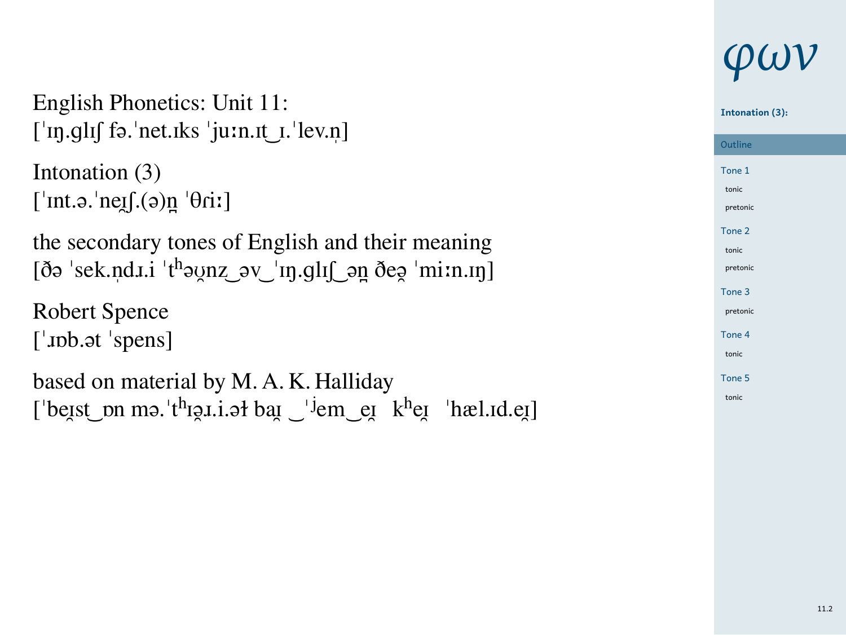| English Phonetics: Unit 11:<br>$\lceil \ln q \ln \rfloor$ fə. net.iks $\lceil \text{u:n.t} \rceil$ . lev.n                               |
|------------------------------------------------------------------------------------------------------------------------------------------|
| Intonation (3)<br>['int.ə.'ne $[$ .(ə)n ' $\theta$ ii]                                                                                   |
| the secondary tones of English and their meaning                                                                                         |
| Robert Spence<br>$\lceil$ upb. at 'spens]                                                                                                |
| based on material by M. A. K. Halliday<br>['beist_pn ma.'t <sup>h</sup> igi.i.at bai _' <sup>j</sup> em_ei k <sup>h</sup> ei 'hæl.id.ei] |

#### **Intonation (3):**

Outline<br>
– Tone 1 tonic pretonic Tone 2 tonic pretonic Tone 3 pretonic Tone 4 tonic

Tone 5 tonic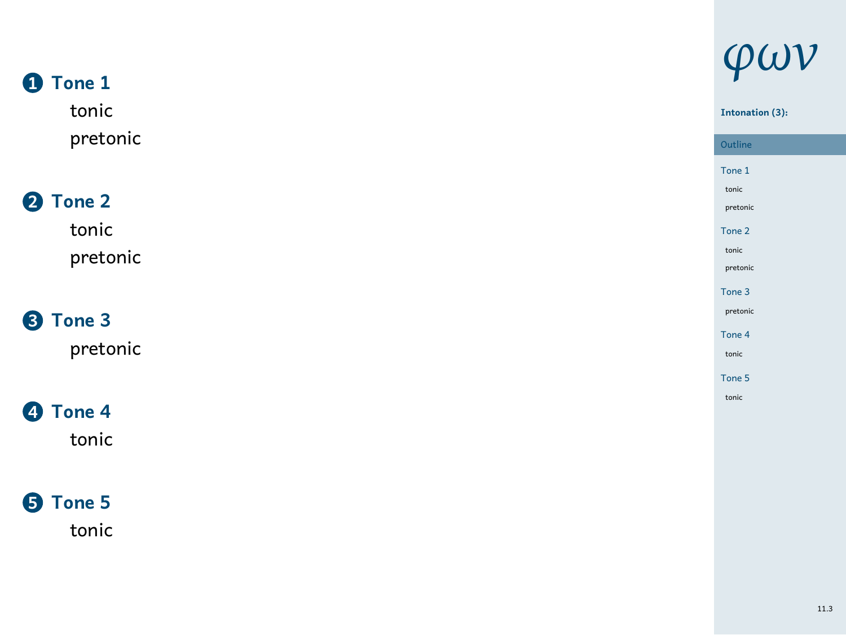#### **1 Tone 1**

tonic pretonic

#### **2 Tone 2**

tonic pretonic

**3 Tone 3**

pretonic

#### **4 Tone 4**

tonic

#### **5 Tone 5** tonic

*φων*

### **Intonation (3):**

1 Tone 1 tonic pretonic Tone 2 tonic pretonic Tone 3 pretonic Tone 4 tonic Tone 5

tonic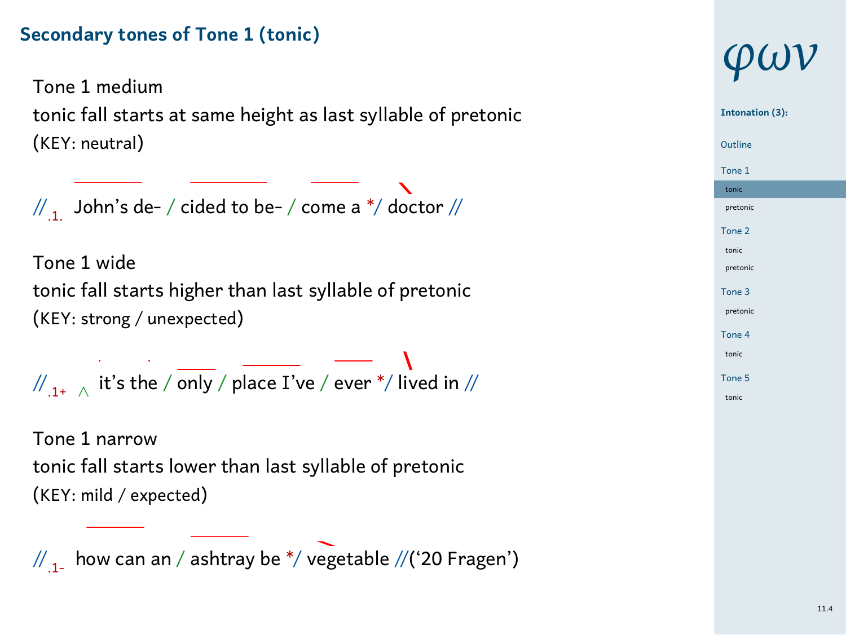#### **Secondary tones of Tone 1 (tonic)**

Tone 1 medium tonic fall starts at same height as last syllable of pretonic (KEY: neutral)

 $\mathbf{v}$  $\frac{1}{1}$  John's de- / cided to be- / come a \*/ doctor //

Tone 1 wide tonic fall starts higher than last syllable of pretonic (KEY: strong / unexpected)

//.1+ *<sup>∧</sup>* it's the / only / place I've / ever \*/ lived in //

Tone 1 narrow tonic fall starts lower than last syllable of pretonic (KEY: mild / expected)

 $\frac{1}{11}$  how can an / ashtray be \*/ vegetable //('20 Fragen')

# *φων*

#### 1 Tone 1 tonic pretonic **Intonation (3):** Outline Tone 2 tonic pretonic Tone 3 pretonic Tone 4 tonic Tone 5 tonic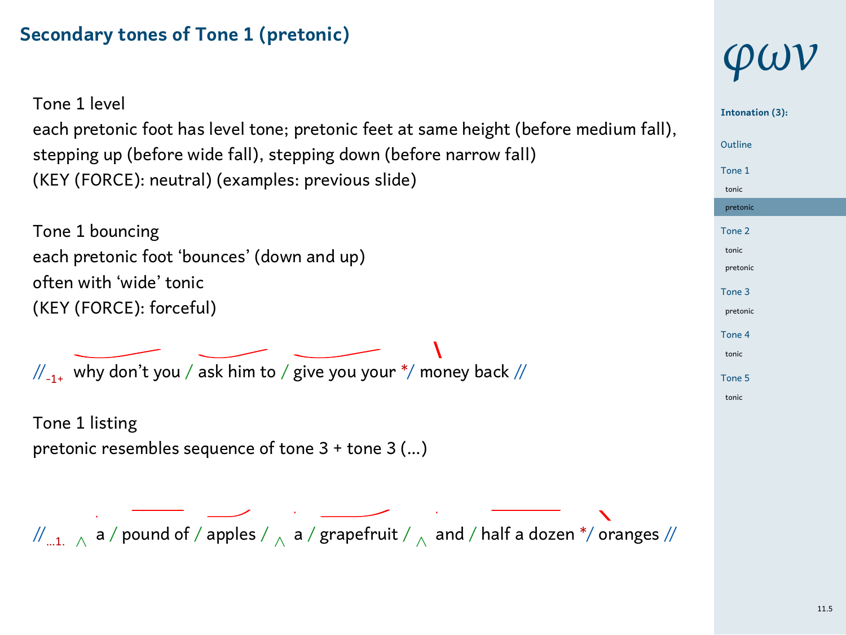#### **Secondary tones of Tone 1 (pretonic)**

| Tone 1 level<br>each pretonic foot has level tone; pretonic feet at same height (before medium fall),                    | Into         |
|--------------------------------------------------------------------------------------------------------------------------|--------------|
| stepping up (before wide fall), stepping down (before narrow fall)                                                       | Outl<br>Tone |
| (KEY (FORCE): neutral) (examples: previous slide)                                                                        | toni<br>pret |
| Tone 1 bouncing                                                                                                          | Tone         |
| each pretonic foot 'bounces' (down and up)<br>often with 'wide' tonic                                                    | toni<br>pret |
| (KEY (FORCE): forceful)                                                                                                  | Tone<br>pret |
|                                                                                                                          | Tone<br>toni |
| $\frac{1}{2}$ why don't you / ask him to / give you your */ money back //                                                | Tone<br>toni |
| Tone 1 listing                                                                                                           |              |
| pretonic resembles sequence of tone 3 + tone 3 ()                                                                        |              |
|                                                                                                                          |              |
| $\mathbb{Z}_{n1}$ , $\wedge$ a / pound of / apples / $\wedge$ a / grapefruit / $\wedge$ and / half a dozen */ oranges // |              |
|                                                                                                                          |              |

# *φων*

| Intonation (3): |
|-----------------|
| Outline         |
| Tone 1          |
| tonic           |
| pretonic        |
| Tone 2          |
| tonic           |
| pretonic        |
| Tone 3          |
| pretonic        |
| Tone 4          |
| tonic           |
| Tone 5          |
| tonic           |
|                 |
|                 |
|                 |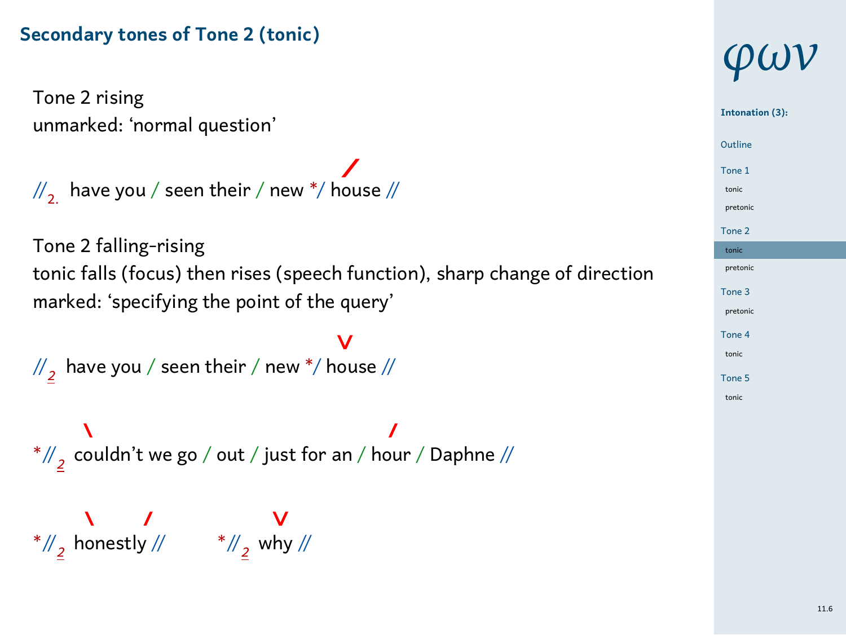#### **Secondary tones of Tone 2 (tonic)**

Tone 2 rising unmarked: 'normal question'

 $\mathbb{Z}_{2}$  have you / seen their / new \*/ house //

Tone 2 falling-rising tonic falls (focus) then rises (speech function), sharp change of direction marked: 'specifying the point of the query'

 $\overline{\mathsf{v}}$ //*2* have you / seen their / new \*/ house //

\*//*<sup>2</sup>* couldn't we go / out / just for an / hour / Daphne //

\*//*<sup>2</sup>* honestly // \*//*<sup>2</sup>* why //

## *φων*

### 1 Outline **Intonation (3):** Tone 1 tonic pretonic Tone 2 tonic pretonic Tone 3 pretonic Tone 4 tonic

Tone 5 tonic

11.6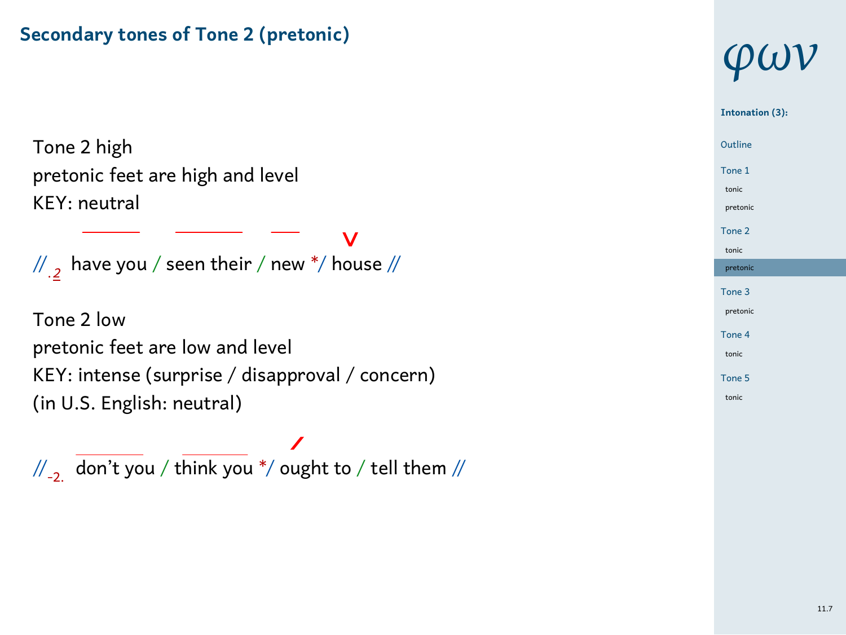#### **Secondary tones of Tone 2 (pretonic)**

Tone 2 high pretonic feet are high and level KEY: neutral

 $\frac{1}{2}$ 

// .*2* have you / seen their / new \*/ house //

 $\overline{\phantom{a}}$ 

 $\bar{\mathbf{V}}$ 

Tone 2 low pretonic feet are low and level KEY: intense (surprise / disapproval / concern) (in U.S. English: neutral)

 $\overline{\phantom{a}}$  $\frac{1}{2}$  don't you / think you \*/ ought to / tell them //

### *φων* **Intonation (3):**

### 1 Outline

Tone 1 tonic pretonic Tone 2

tonic pretonic Tone 3 pretonic

Tone 4 tonic Tone 5 tonic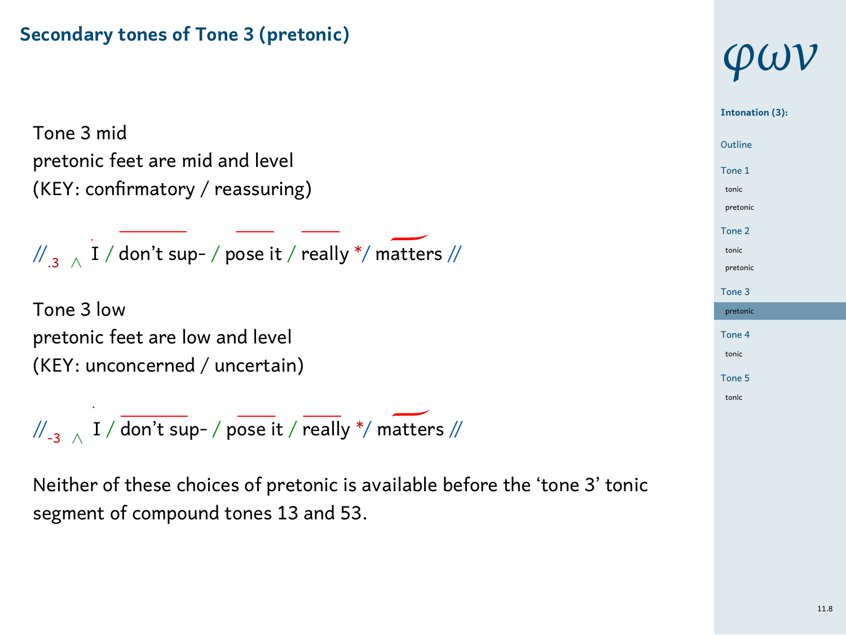#### **Secondary tones of Tone 3 (pretonic)**

Tone 3 mid pretonic feet are mid and level (KEY: confirmatory / reassuring)

//.3 *<sup>∧</sup>* I / don't sup- / pose it / really \*/ matters //

Tone 3 low pretonic feet are low and level (KEY: unconcerned / uncertain)

//-3 *<sup>∧</sup>* I / don't sup- / pose it / really \*/ matters //

Neither of these choices of pretonic is available before the 'tone 3' tonic segment of compound tones 13 and 53.

### *φων* 1 Outline **Intonation (3):** Tone 1

tonic pretonic Tone 2 tonic pretonic Tone 3 pretonic Tone 4 tonic

> Tone 5 tonic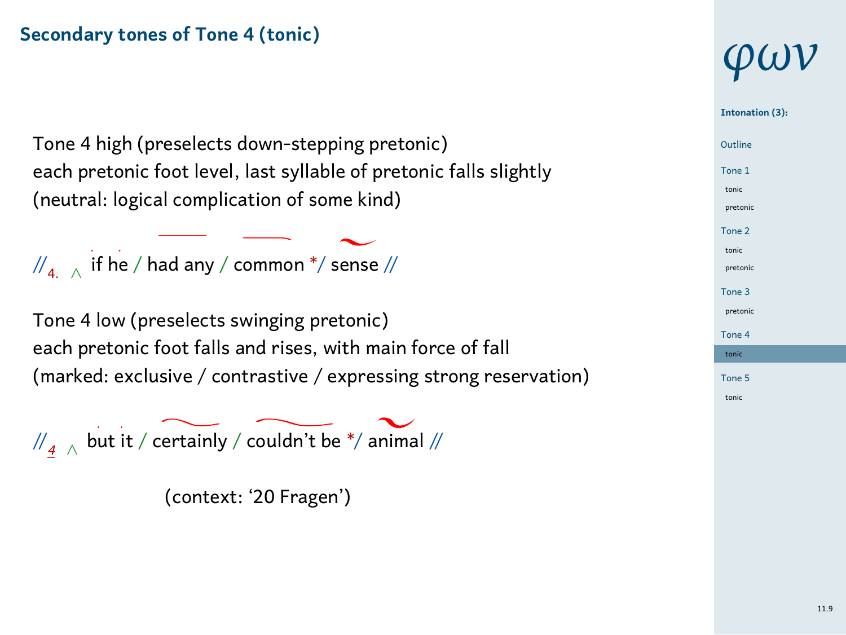#### **Secondary tones of Tone 4 (tonic)**

Tone 4 high (preselects down-stepping pretonic) each pretonic foot level, last syllable of pretonic falls slightly (neutral: logical complication of some kind)

//4. *<sup>∧</sup>* if he / had any / common \*/ sense //

Tone 4 low (preselects swinging pretonic) each pretonic foot falls and rises, with main force of fall (marked: exclusive / contrastive / expressing strong reservation)

//*<sup>4</sup> <sup>∧</sup>* but it / certainly / couldn't be \*/ animal //

(context: '20 Fragen')

# *φων*

#### 1 Outline **Intonation (3):** Tone 1 tonic pretonic Tone 2

tonic pretonic Tone 3 pretonic Tone 4

tonic Tone 5 tonic